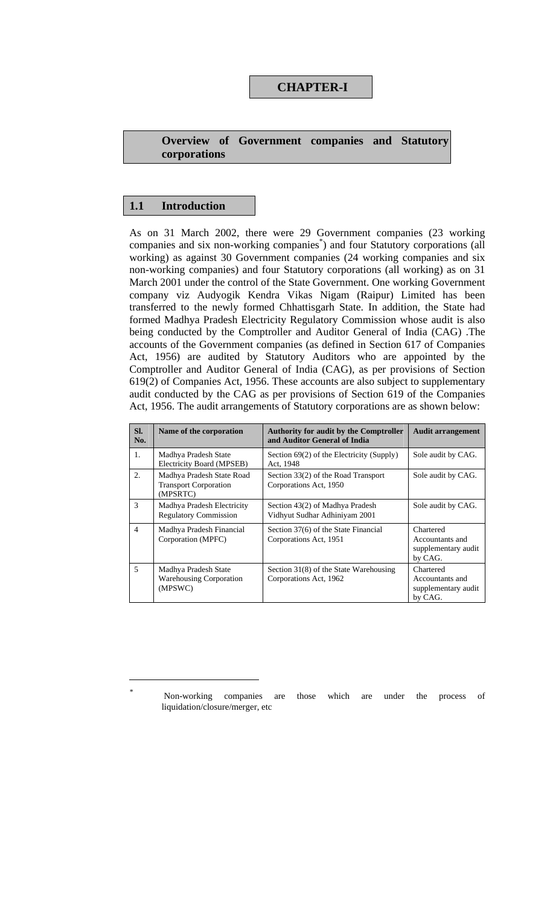# **CHAPTER-I**

### **Overview of Government companies and Statutory corporations**

### **1.1 Introduction**

As on 31 March 2002, there were 29 Government companies (23 working companies and six non-working companies<sup>\*</sup>) and four Statutory corporations (all working) as against 30 Government companies (24 working companies and six non-working companies) and four Statutory corporations (all working) as on 31 March 2001 under the control of the State Government. One working Government company viz Audyogik Kendra Vikas Nigam (Raipur) Limited has been transferred to the newly formed Chhattisgarh State. In addition, the State had formed Madhya Pradesh Electricity Regulatory Commission whose audit is also being conducted by the Comptroller and Auditor General of India (CAG) .The accounts of the Government companies (as defined in Section 617 of Companies Act, 1956) are audited by Statutory Auditors who are appointed by the Comptroller and Auditor General of India (CAG), as per provisions of Section 619(2) of Companies Act, 1956. These accounts are also subject to supplementary audit conducted by the CAG as per provisions of Section 619 of the Companies Act, 1956. The audit arrangements of Statutory corporations are as shown below:

| SI.<br>No.     | Name of the corporation                                               | <b>Authority for audit by the Comptroller</b><br>and Auditor General of India | <b>Audit arrangement</b>                                       |
|----------------|-----------------------------------------------------------------------|-------------------------------------------------------------------------------|----------------------------------------------------------------|
| 1.             | Madhya Pradesh State<br>Electricity Board (MPSEB)                     | Section $69(2)$ of the Electricity (Supply)<br>Act, 1948                      | Sole audit by CAG.                                             |
| 2.             | Madhya Pradesh State Road<br><b>Transport Corporation</b><br>(MPSRTC) | Section 33(2) of the Road Transport<br>Corporations Act, 1950                 | Sole audit by CAG.                                             |
| 3              | Madhya Pradesh Electricity<br><b>Regulatory Commission</b>            | Section 43(2) of Madhya Pradesh<br>Vidhyut Sudhar Adhiniyam 2001              | Sole audit by CAG.                                             |
| $\overline{4}$ | Madhya Pradesh Financial<br>Corporation (MPFC)                        | Section 37(6) of the State Financial<br>Corporations Act, 1951                | Chartered<br>Accountants and<br>supplementary audit<br>by CAG. |
| 5              | Madhya Pradesh State<br><b>Warehousing Corporation</b><br>(MPSWC)     | Section 31(8) of the State Warehousing<br>Corporations Act, 1962              | Chartered<br>Accountants and<br>supplementary audit<br>by CAG. |

Non-working companies are those which are under the process of liquidation/closure/merger, etc

 $\overline{a}$ *\**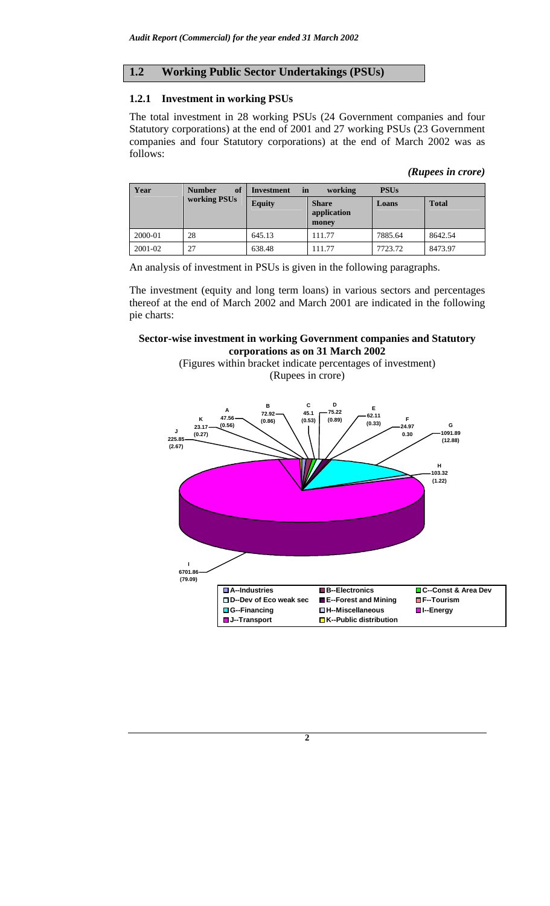## **1.2 Working Public Sector Undertakings (PSUs)**

### **1.2.1 Investment in working PSUs**

The total investment in 28 working PSUs (24 Government companies and four Statutory corporations) at the end of 2001 and 27 working PSUs (23 Government companies and four Statutory corporations) at the end of March 2002 was as follows:

| (Rupees in crore) |  |
|-------------------|--|
|                   |  |

| Year    | of<br><b>Number</b> | in<br>Investment | working                              | <b>PSUs</b> |              |
|---------|---------------------|------------------|--------------------------------------|-------------|--------------|
|         | working PSUs        | <b>Equity</b>    | <b>Share</b><br>application<br>money |             | <b>Total</b> |
| 2000-01 | 28                  | 645.13           | 111.77                               | 7885.64     | 8642.54      |
| 2001-02 | 27                  | 638.48           | 111.77                               | 7723.72     | 8473.97      |

An analysis of investment in PSUs is given in the following paragraphs.

The investment (equity and long term loans) in various sectors and percentages thereof at the end of March 2002 and March 2001 are indicated in the following pie charts:

### **Sector-wise investment in working Government companies and Statutory corporations as on 31 March 2002**

(Figures within bracket indicate percentages of investment) (Rupees in crore)

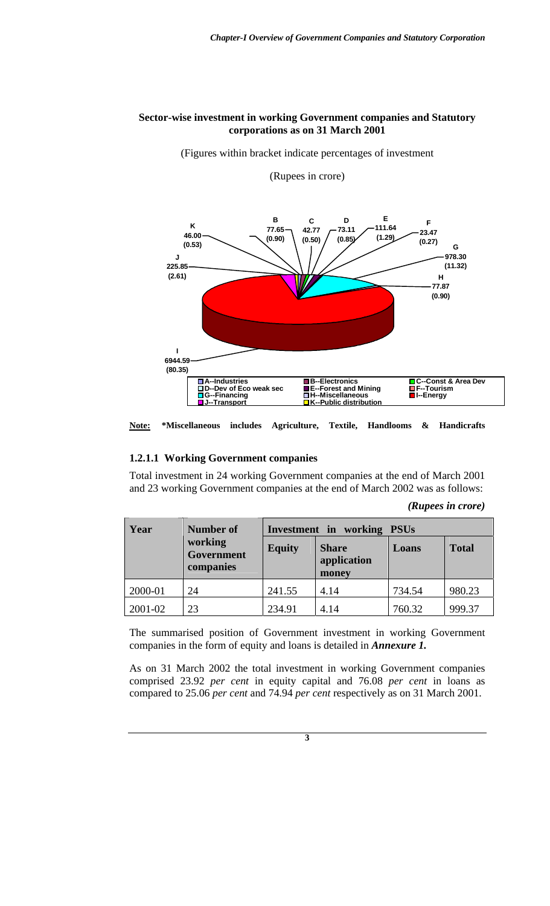### **Sector-wise investment in working Government companies and Statutory corporations as on 31 March 2001**

(Figures within bracket indicate percentages of investment

#### (Rupees in crore)



**Note: \*Miscellaneous includes Agriculture, Textile, Handlooms & Handicrafts** 

#### **1.2.1.1 Working Government companies**

Total investment in 24 working Government companies at the end of March 2001 and 23 working Government companies at the end of March 2002 was as follows:

| (Rupees in crore) |  |
|-------------------|--|
|                   |  |

| Year    | <b>Number of</b>                   | Investment in working PSUs |                                      |        |              |  |  |
|---------|------------------------------------|----------------------------|--------------------------------------|--------|--------------|--|--|
|         | working<br>Government<br>companies | <b>Equity</b>              | <b>Share</b><br>application<br>money | Loans  | <b>Total</b> |  |  |
| 2000-01 | 24                                 | 241.55                     | 4.14                                 | 734.54 | 980.23       |  |  |
| 2001-02 | 23                                 | 234.91                     | 4.14                                 | 760.32 | 999.37       |  |  |

The summarised position of Government investment in working Government companies in the form of equity and loans is detailed in *Annexure 1.* 

As on 31 March 2002 the total investment in working Government companies comprised 23.92 *per cent* in equity capital and 76.08 *per cent* in loans as compared to 25.06 *per cent* and 74.94 *per cent* respectively as on 31 March 2001.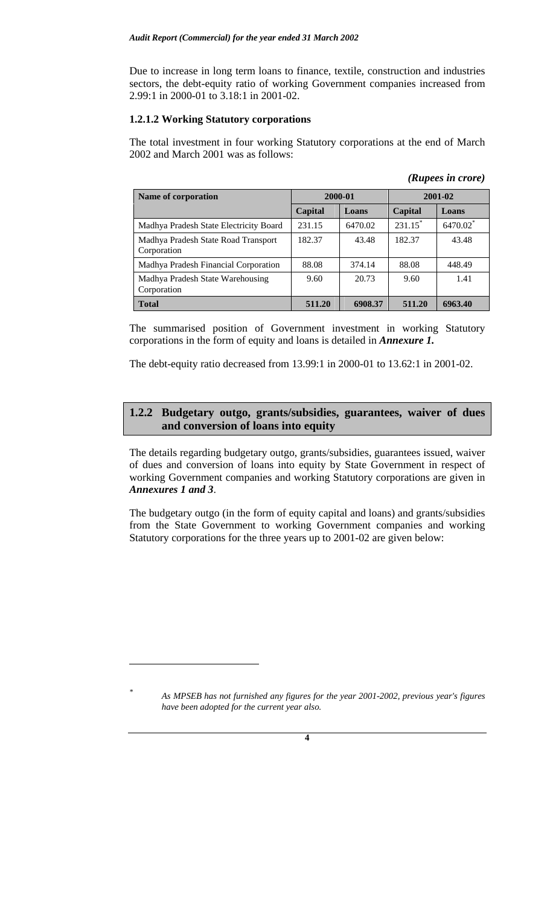Due to increase in long term loans to finance, textile, construction and industries sectors, the debt-equity ratio of working Government companies increased from 2.99:1 in 2000-01 to 3.18:1 in 2001-02.

## **1.2.1.2 Working Statutory corporations**

The total investment in four working Statutory corporations at the end of March 2002 and March 2001 was as follows:

*(Rupees in crore)* 

| Name of corporation                                |         | 2000-01 | 2001-02    |          |
|----------------------------------------------------|---------|---------|------------|----------|
|                                                    | Capital | Loans   | Capital    | Loans    |
| Madhya Pradesh State Electricity Board             | 231.15  | 6470.02 | $231.15^*$ | 6470.02* |
| Madhya Pradesh State Road Transport<br>Corporation | 182.37  | 43.48   | 182.37     | 43.48    |
| Madhya Pradesh Financial Corporation               | 88.08   | 374.14  | 88.08      | 448.49   |
| Madhya Pradesh State Warehousing<br>Corporation    | 9.60    | 20.73   | 9.60       | 1.41     |
| <b>Total</b>                                       | 511.20  | 6908.37 | 511.20     | 6963.40  |

The summarised position of Government investment in working Statutory corporations in the form of equity and loans is detailed in *Annexure 1.* 

The debt-equity ratio decreased from 13.99:1 in 2000-01 to 13.62:1 in 2001-02.

# **1.2.2 Budgetary outgo, grants/subsidies, guarantees, waiver of dues and conversion of loans into equity**

The details regarding budgetary outgo, grants/subsidies, guarantees issued, waiver of dues and conversion of loans into equity by State Government in respect of working Government companies and working Statutory corporations are given in *Annexures 1 and 3*.

The budgetary outgo (in the form of equity capital and loans) and grants/subsidies from the State Government to working Government companies and working Statutory corporations for the three years up to 2001-02 are given below:

 $\overline{a}$ 

*\**

*As MPSEB has not furnished any figures for the year 2001-2002, previous year's figures have been adopted for the current year also.*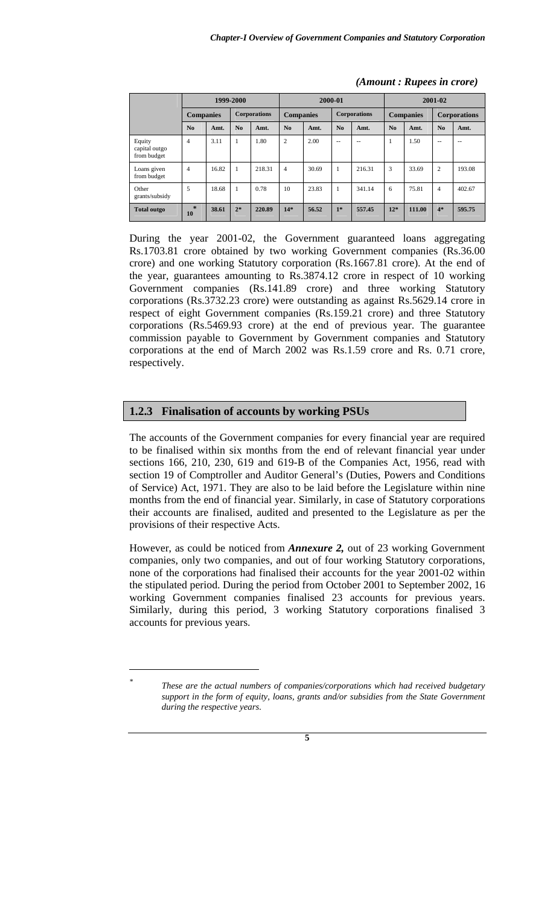|                                        | 1999-2000        |       |                | 2000-01             |                  |       | 2001-02        |                     |       |                  |                   |                     |
|----------------------------------------|------------------|-------|----------------|---------------------|------------------|-------|----------------|---------------------|-------|------------------|-------------------|---------------------|
|                                        | <b>Companies</b> |       |                | <b>Corporations</b> | <b>Companies</b> |       |                | <b>Corporations</b> |       | <b>Companies</b> |                   | <b>Corporations</b> |
|                                        | N <sub>0</sub>   | Amt.  | N <sub>0</sub> | Amt.                | N <sub>0</sub>   | Amt.  | N <sub>0</sub> | Amt.                | No    | Amt.             | N <sub>0</sub>    | Amt.                |
| Equity<br>capital outgo<br>from budget | $\overline{4}$   | 3.11  | 1              | 1.80                | $\overline{2}$   | 2.00  | $-$            | $- -$               | 1     | 1.50             | $\qquad \qquad -$ | $-$                 |
| Loans given<br>from budget             | $\overline{4}$   | 16.82 | 1              | 218.31              | $\overline{4}$   | 30.69 |                | 216.31              | 3     | 33.69            | $\overline{c}$    | 193.08              |
| Other<br>grants/subsidy                | 5                | 18.68 | 1              | 0.78                | 10               | 23.83 |                | 341.14              | 6     | 75.81            | $\overline{4}$    | 402.67              |
| <b>Total outgo</b>                     | $\star$<br>10    | 38.61 | $2*$           | 220.89              | $14*$            | 56.52 | $1*$           | 557.45              | $12*$ | 111.00           | $4*$              | 595.75              |

#### *(Amount : Rupees in crore)*

During the year 2001-02, the Government guaranteed loans aggregating Rs.1703.81 crore obtained by two working Government companies (Rs.36.00 crore) and one working Statutory corporation (Rs.1667.81 crore). At the end of the year, guarantees amounting to Rs.3874.12 crore in respect of 10 working Government companies (Rs.141.89 crore) and three working Statutory corporations (Rs.3732.23 crore) were outstanding as against Rs.5629.14 crore in respect of eight Government companies (Rs.159.21 crore) and three Statutory corporations (Rs.5469.93 crore) at the end of previous year. The guarantee commission payable to Government by Government companies and Statutory corporations at the end of March 2002 was Rs.1.59 crore and Rs. 0.71 crore, respectively.

### **1.2.3 Finalisation of accounts by working PSUs**

The accounts of the Government companies for every financial year are required to be finalised within six months from the end of relevant financial year under sections 166, 210, 230, 619 and 619-B of the Companies Act, 1956, read with section 19 of Comptroller and Auditor General's (Duties, Powers and Conditions of Service) Act, 1971. They are also to be laid before the Legislature within nine months from the end of financial year. Similarly, in case of Statutory corporations their accounts are finalised, audited and presented to the Legislature as per the provisions of their respective Acts.

However, as could be noticed from *Annexure 2,* out of 23 working Government companies, only two companies, and out of four working Statutory corporations, none of the corporations had finalised their accounts for the year 2001-02 within the stipulated period. During the period from October 2001 to September 2002, 16 working Government companies finalised 23 accounts for previous years. Similarly, during this period, 3 working Statutory corporations finalised 3 accounts for previous years.

 $\overline{a}$ *\**

*These are the actual numbers of companies/corporations which had received budgetary support in the form of equity, loans, grants and/or subsidies from the State Government during the respective years.*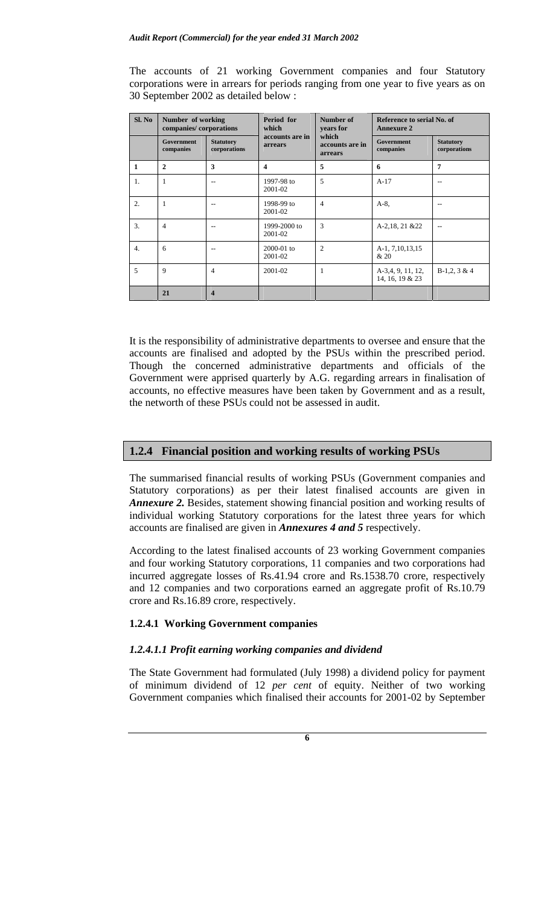The accounts of 21 working Government companies and four Statutory corporations were in arrears for periods ranging from one year to five years as on 30 September 2002 as detailed below :

| Sl. No         | Number of working<br>companies/corporations |                                  | Period for<br>which        | Number of<br>years for              | Reference to serial No. of<br><b>Annexure 2</b> |                                  |  |
|----------------|---------------------------------------------|----------------------------------|----------------------------|-------------------------------------|-------------------------------------------------|----------------------------------|--|
|                | <b>Government</b><br>companies              | <b>Statutory</b><br>corporations | accounts are in<br>arrears | which<br>accounts are in<br>arrears | <b>Government</b><br>companies                  | <b>Statutory</b><br>corporations |  |
| $\mathbf{1}$   | $\mathbf{2}$                                | 3                                | $\overline{\mathbf{4}}$    | 5                                   | 6                                               | $\overline{7}$                   |  |
| $\mathbf{1}$ . | 1                                           | --                               | 1997-98 to<br>2001-02      | 5                                   | $A-17$                                          | --                               |  |
| 2.             | 1                                           |                                  | 1998-99 to<br>2001-02      | $\overline{4}$                      | $A-8$ .                                         | --                               |  |
| 3.             | $\overline{4}$                              | --                               | 1999-2000 to<br>2001-02    | 3                                   | A-2,18, 21 & 22                                 | $-$                              |  |
| 4.             | 6                                           |                                  | $2000 - 01$ to<br>2001-02  | $\overline{2}$                      | A-1, 7, 10, 13, 15<br>& 20                      |                                  |  |
| 5              | 9                                           | 4                                | 2001-02                    | 1                                   | A-3,4, 9, 11, 12,<br>14, 16, 19 & 23            | $B-1,2,3 & 4$                    |  |
|                | 21                                          | $\overline{\mathbf{4}}$          |                            |                                     |                                                 |                                  |  |

It is the responsibility of administrative departments to oversee and ensure that the accounts are finalised and adopted by the PSUs within the prescribed period. Though the concerned administrative departments and officials of the Government were apprised quarterly by A.G. regarding arrears in finalisation of accounts, no effective measures have been taken by Government and as a result, the networth of these PSUs could not be assessed in audit.

## **1.2.4 Financial position and working results of working PSUs**

The summarised financial results of working PSUs (Government companies and Statutory corporations) as per their latest finalised accounts are given in *Annexure 2.* Besides, statement showing financial position and working results of individual working Statutory corporations for the latest three years for which accounts are finalised are given in *Annexures 4 and 5* respectively.

According to the latest finalised accounts of 23 working Government companies and four working Statutory corporations, 11 companies and two corporations had incurred aggregate losses of Rs.41.94 crore and Rs.1538.70 crore, respectively and 12 companies and two corporations earned an aggregate profit of Rs.10.79 crore and Rs.16.89 crore, respectively.

#### **1.2.4.1 Working Government companies**

### *1.2.4.1.1 Profit earning working companies and dividend*

The State Government had formulated (July 1998) a dividend policy for payment of minimum dividend of 12 *per cent* of equity. Neither of two working Government companies which finalised their accounts for 2001-02 by September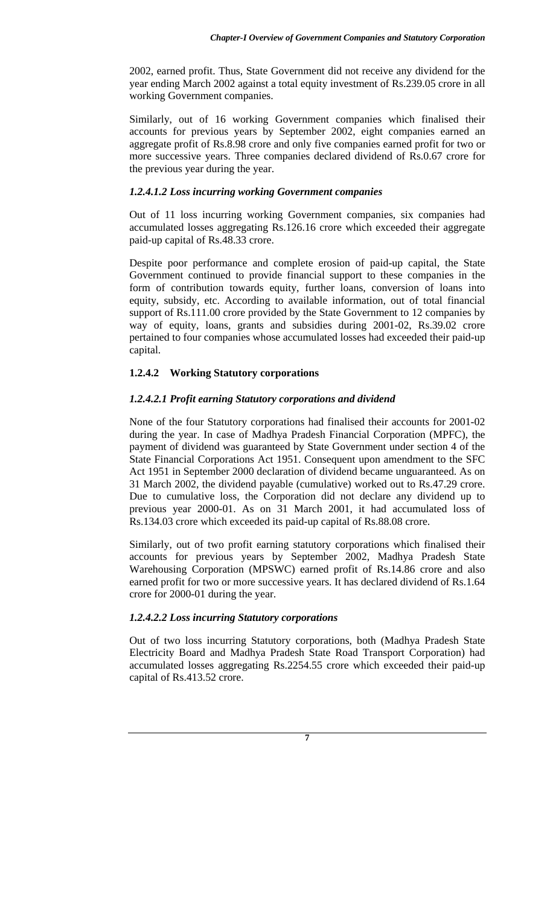2002, earned profit. Thus, State Government did not receive any dividend for the year ending March 2002 against a total equity investment of Rs.239.05 crore in all working Government companies.

Similarly, out of 16 working Government companies which finalised their accounts for previous years by September 2002, eight companies earned an aggregate profit of Rs.8.98 crore and only five companies earned profit for two or more successive years. Three companies declared dividend of Rs.0.67 crore for the previous year during the year.

# *1.2.4.1.2 Loss incurring working Government companies*

Out of 11 loss incurring working Government companies, six companies had accumulated losses aggregating Rs.126.16 crore which exceeded their aggregate paid-up capital of Rs.48.33 crore.

Despite poor performance and complete erosion of paid-up capital, the State Government continued to provide financial support to these companies in the form of contribution towards equity, further loans, conversion of loans into equity, subsidy, etc. According to available information, out of total financial support of Rs.111.00 crore provided by the State Government to 12 companies by way of equity, loans, grants and subsidies during 2001-02, Rs.39.02 crore pertained to four companies whose accumulated losses had exceeded their paid-up capital.

# **1.2.4.2 Working Statutory corporations**

# *1.2.4.2.1 Profit earning Statutory corporations and dividend*

None of the four Statutory corporations had finalised their accounts for 2001-02 during the year. In case of Madhya Pradesh Financial Corporation (MPFC), the payment of dividend was guaranteed by State Government under section 4 of the State Financial Corporations Act 1951. Consequent upon amendment to the SFC Act 1951 in September 2000 declaration of dividend became unguaranteed. As on 31 March 2002, the dividend payable (cumulative) worked out to Rs.47.29 crore. Due to cumulative loss, the Corporation did not declare any dividend up to previous year 2000-01. As on 31 March 2001, it had accumulated loss of Rs.134.03 crore which exceeded its paid-up capital of Rs.88.08 crore.

Similarly, out of two profit earning statutory corporations which finalised their accounts for previous years by September 2002, Madhya Pradesh State Warehousing Corporation (MPSWC) earned profit of Rs.14.86 crore and also earned profit for two or more successive years. It has declared dividend of Rs.1.64 crore for 2000-01 during the year.

### *1.2.4.2.2 Loss incurring Statutory corporations*

Out of two loss incurring Statutory corporations, both (Madhya Pradesh State Electricity Board and Madhya Pradesh State Road Transport Corporation) had accumulated losses aggregating Rs.2254.55 crore which exceeded their paid-up capital of Rs.413.52 crore.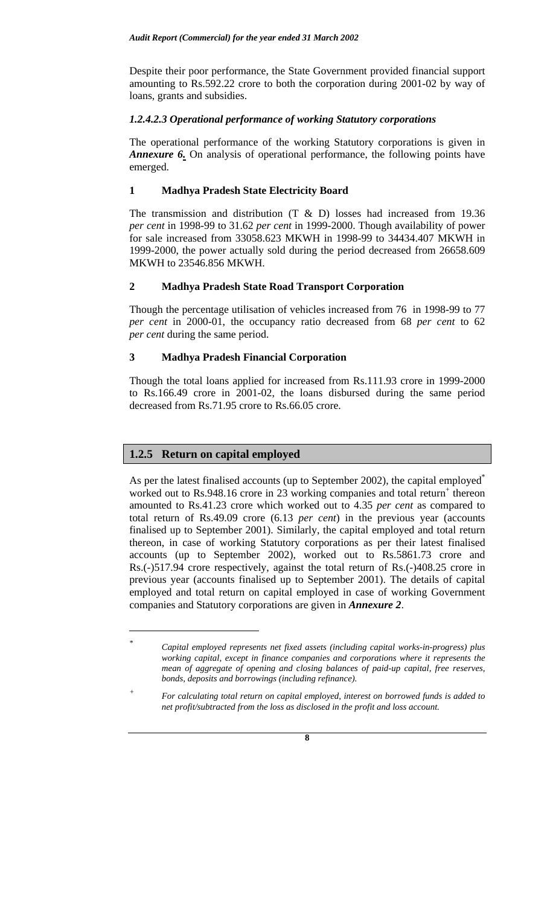Despite their poor performance, the State Government provided financial support amounting to Rs.592.22 crore to both the corporation during 2001-02 by way of loans, grants and subsidies.

## *1.2.4.2.3 Operational performance of working Statutory corporations*

The operational performance of the working Statutory corporations is given in *Annexure 6.* On analysis of operational performance, the following points have emerged.

# **1 Madhya Pradesh State Electricity Board**

The transmission and distribution  $(T \& D)$  losses had increased from 19.36 *per cent* in 1998-99 to 31.62 *per cent* in 1999-2000. Though availability of power for sale increased from 33058.623 MKWH in 1998-99 to 34434.407 MKWH in 1999-2000, the power actually sold during the period decreased from 26658.609 MKWH to 23546.856 MKWH.

# **2 Madhya Pradesh State Road Transport Corporation**

Though the percentage utilisation of vehicles increased from 76 in 1998-99 to 77 *per cent* in 2000-01, the occupancy ratio decreased from 68 *per cent* to 62 *per cent* during the same period.

# **3 Madhya Pradesh Financial Corporation**

Though the total loans applied for increased from Rs.111.93 crore in 1999-2000 to Rs.166.49 crore in 2001-02, the loans disbursed during the same period decreased from Rs.71.95 crore to Rs.66.05 crore.

# **1.2.5 Return on capital employed**

 $\overline{a}$ 

As per the latest finalised accounts (up to September 2002), the capital employed<sup>\*</sup> worked out to Rs.948.16 crore in 23 working companies and total return<sup>+</sup> thereon amounted to Rs.41.23 crore which worked out to 4.35 *per cent* as compared to total return of Rs.49.09 crore (6.13 *per cent*) in the previous year (accounts finalised up to September 2001). Similarly, the capital employed and total return thereon, in case of working Statutory corporations as per their latest finalised accounts (up to September 2002), worked out to Rs.5861.73 crore and Rs.(-)517.94 crore respectively, against the total return of Rs.(-)408.25 crore in previous year (accounts finalised up to September 2001). The details of capital employed and total return on capital employed in case of working Government companies and Statutory corporations are given in *Annexure 2*.

*<sup>\*</sup> Capital employed represents net fixed assets (including capital works-in-progress) plus working capital, except in finance companies and corporations where it represents the mean of aggregate of opening and closing balances of paid-up capital, free reserves, bonds, deposits and borrowings (including refinance).* 

*<sup>+</sup> For calculating total return on capital employed, interest on borrowed funds is added to net profit/subtracted from the loss as disclosed in the profit and loss account.*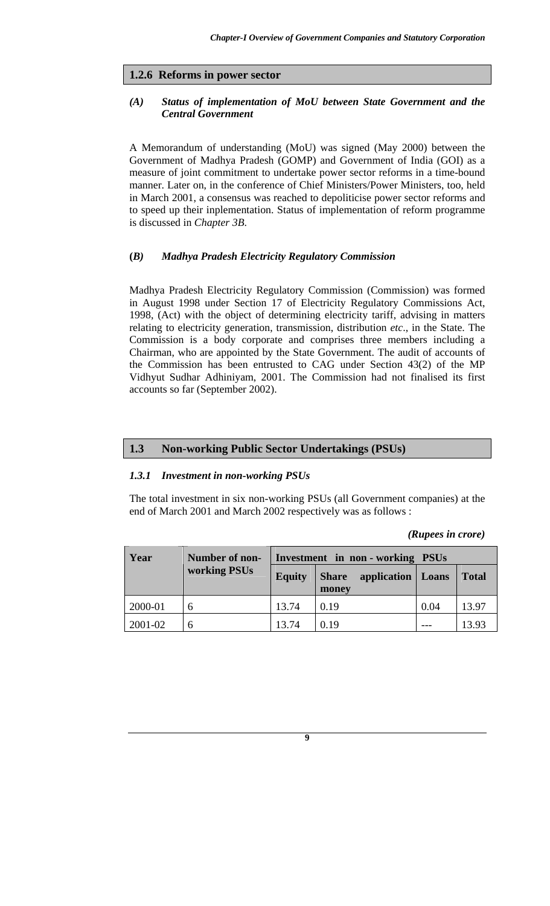### **1.2.6 Reforms in power sector**

## *(A) Status of implementation of MoU between State Government and the Central Government*

A Memorandum of understanding (MoU) was signed (May 2000) between the Government of Madhya Pradesh (GOMP) and Government of India (GOI) as a measure of joint commitment to undertake power sector reforms in a time-bound manner. Later on, in the conference of Chief Ministers/Power Ministers, too, held in March 2001, a consensus was reached to depoliticise power sector reforms and to speed up their inplementation. Status of implementation of reform programme is discussed in *Chapter 3B*.

### **(***B) Madhya Pradesh Electricity Regulatory Commission*

Madhya Pradesh Electricity Regulatory Commission (Commission) was formed in August 1998 under Section 17 of Electricity Regulatory Commissions Act, 1998, (Act) with the object of determining electricity tariff, advising in matters relating to electricity generation, transmission, distribution *etc*., in the State. The Commission is a body corporate and comprises three members including a Chairman, who are appointed by the State Government. The audit of accounts of the Commission has been entrusted to CAG under Section 43(2) of the MP Vidhyut Sudhar Adhiniyam, 2001. The Commission had not finalised its first accounts so far (September 2002).

# **1.3 Non-working Public Sector Undertakings (PSUs)**

#### *1.3.1 Investment in non-working PSUs*

The total investment in six non-working PSUs (all Government companies) at the end of March 2001 and March 2002 respectively was as follows :

*(Rupees in crore)* 

| Year    | <b>Number of non-</b> |                                                      | <b>Investment</b> in non - working PSUs |      |              |  |
|---------|-----------------------|------------------------------------------------------|-----------------------------------------|------|--------------|--|
|         | working PSUs          | application   Loans<br><b>Equity</b><br><b>Share</b> |                                         |      | <b>Total</b> |  |
|         |                       |                                                      | money                                   |      |              |  |
| 2000-01 | h                     | 13.74                                                | 0.19                                    | 0.04 | 13.97        |  |
| 2001-02 | h                     | 13.74                                                | 0.19                                    |      | 13.93        |  |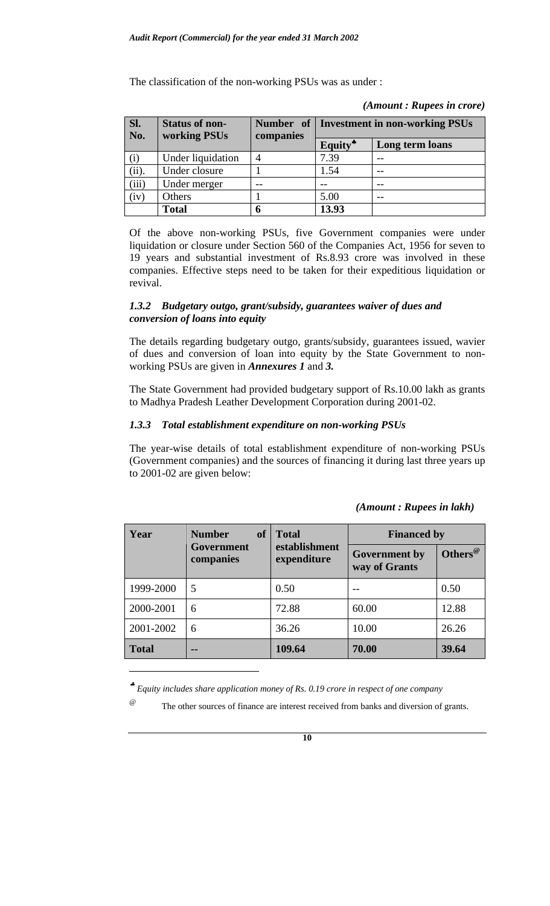The classification of the non-working PSUs was as under :

| SI.<br>No. | <b>Status of non-</b><br>working PSUs | companies |                     | Number of   Investment in non-working PSUs |
|------------|---------------------------------------|-----------|---------------------|--------------------------------------------|
|            |                                       |           | Equity <sup>*</sup> | Long term loans                            |
| (i)        | Under liquidation                     |           | 7.39                |                                            |
| (ii).      | Under closure                         |           | 1.54                |                                            |
| (iii)      | Under merger                          |           |                     | $- -$                                      |
| (iv)       | Others                                |           | 5.00                |                                            |
|            | <b>Total</b>                          | 6         | 13.93               |                                            |

*(Amount : Rupees in crore)* 

Of the above non-working PSUs, five Government companies were under liquidation or closure under Section 560 of the Companies Act, 1956 for seven to 19 years and substantial investment of Rs.8.93 crore was involved in these companies. Effective steps need to be taken for their expeditious liquidation or revival.

### *1.3.2 Budgetary outgo, grant/subsidy, guarantees waiver of dues and conversion of loans into equity*

The details regarding budgetary outgo, grants/subsidy, guarantees issued, wavier of dues and conversion of loan into equity by the State Government to nonworking PSUs are given in *Annexures 1* and *3.* 

The State Government had provided budgetary support of Rs.10.00 lakh as grants to Madhya Pradesh Leather Development Corporation during 2001-02.

### *1.3.3 Total establishment expenditure on non-working PSUs*

The year-wise details of total establishment expenditure of non-working PSUs (Government companies) and the sources of financing it during last three years up to 2001-02 are given below:

| Year         | <b>Number</b><br><b>of</b> | <b>Total</b>                 | <b>Financed by</b>                    |                     |  |
|--------------|----------------------------|------------------------------|---------------------------------------|---------------------|--|
|              | Government<br>companies    | establishment<br>expenditure | <b>Government</b> by<br>way of Grants | Others <sup>@</sup> |  |
| 1999-2000    | 5                          | 0.50                         |                                       | 0.50                |  |
| 2000-2001    | 6                          | 72.88                        | 60.00                                 | 12.88               |  |
| 2001-2002    | 6                          | 36.26                        | 10.00                                 | 26.26               |  |
| <b>Total</b> | --                         | 109.64                       | 70.00                                 | 39.64               |  |

# *(Amount : Rupees in lakh)*

♣ *Equity includes share application money of Rs. 0.19 crore in respect of one company* 

l

 $\degree$  The other sources of finance are interest received from banks and diversion of grants.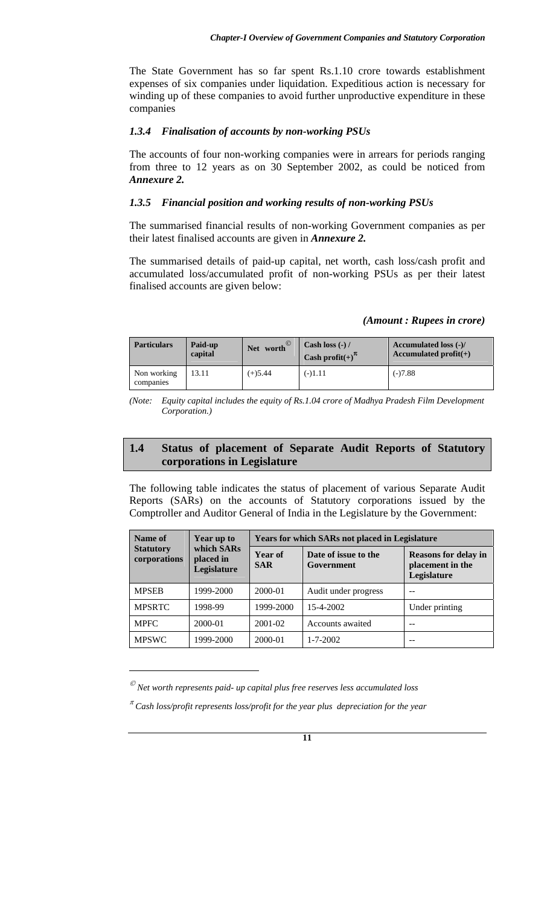The State Government has so far spent Rs.1.10 crore towards establishment expenses of six companies under liquidation. Expeditious action is necessary for winding up of these companies to avoid further unproductive expenditure in these companies

#### *1.3.4 Finalisation of accounts by non-working PSUs*

The accounts of four non-working companies were in arrears for periods ranging from three to 12 years as on 30 September 2002, as could be noticed from *Annexure 2.* 

### *1.3.5 Financial position and working results of non-working PSUs*

The summarised financial results of non-working Government companies as per their latest finalised accounts are given in *Annexure 2.*

The summarised details of paid-up capital, net worth, cash loss/cash profit and accumulated loss/accumulated profit of non-working PSUs as per their latest finalised accounts are given below:

#### *(Amount : Rupees in crore)*

| <b>Particulars</b>       | Paid-up<br>capital | Net worth <sup>©</sup> | Cash loss $(-)$ /<br>Cash profit(+) $\pi$ | Accumulated loss (-)/<br>Accumulated $profit(+)$ |
|--------------------------|--------------------|------------------------|-------------------------------------------|--------------------------------------------------|
| Non working<br>companies | 13.11              | $(+)5.44$              | $(-)1.11$                                 | $(-)7.88$                                        |

*(Note: Equity capital includes the equity of Rs.1.04 crore of Madhya Pradesh Film Development Corporation.)* 

# **1.4 Status of placement of Separate Audit Reports of Statutory corporations in Legislature**

The following table indicates the status of placement of various Separate Audit Reports (SARs) on the accounts of Statutory corporations issued by the Comptroller and Auditor General of India in the Legislature by the Government:

| Name of                          | Year up to<br>which SARs<br>placed in<br>Legislature | <b>Years for which SARs not placed in Legislature</b> |                                    |                                                                |  |
|----------------------------------|------------------------------------------------------|-------------------------------------------------------|------------------------------------|----------------------------------------------------------------|--|
| <b>Statutory</b><br>corporations |                                                      | Year of<br><b>SAR</b>                                 | Date of issue to the<br>Government | <b>Reasons for delay in</b><br>placement in the<br>Legislature |  |
| <b>MPSEB</b>                     | 1999-2000                                            | 2000-01                                               | Audit under progress               |                                                                |  |
| <b>MPSRTC</b>                    | 1998-99                                              | 1999-2000                                             | 15-4-2002                          | Under printing                                                 |  |
| <b>MPFC</b>                      | 2000-01                                              | 2001-02                                               | Accounts awaited                   |                                                                |  |
| <b>MPSWC</b>                     | 1999-2000                                            | 2000-01                                               | $1 - 7 - 2002$                     | --                                                             |  |

 $^\oslash$  Net worth represents paid- up capital plus free reserves less accumulated loss

 $\overline{a}$ 

<sup>π</sup> *Cash loss/profit represents loss/profit for the year plus depreciation for the year*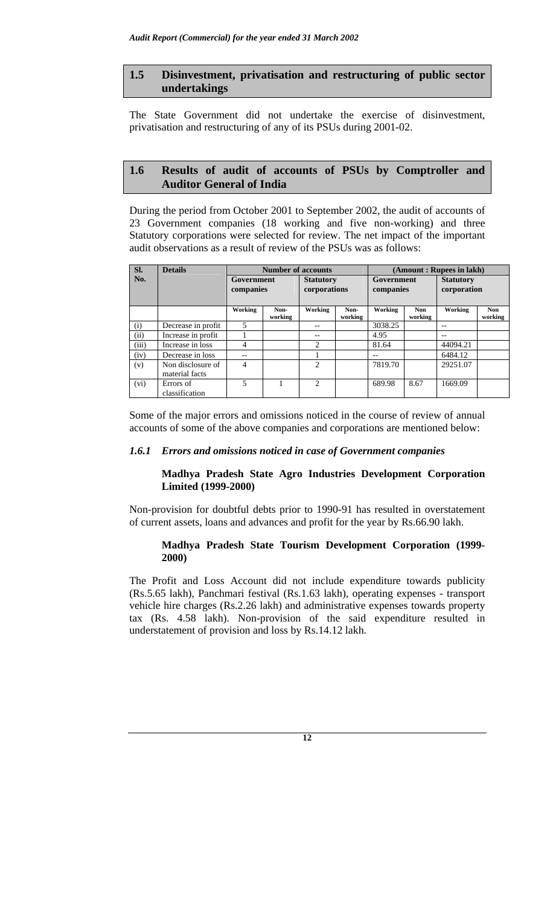### **1.5 Disinvestment, privatisation and restructuring of public sector undertakings**

The State Government did not undertake the exercise of disinvestment, privatisation and restructuring of any of its PSUs during 2001-02.

## **1.6 Results of audit of accounts of PSUs by Comptroller and Auditor General of India**

During the period from October 2001 to September 2002, the audit of accounts of 23 Government companies (18 working and five non-working) and three Statutory corporations were selected for review. The net impact of the important audit observations as a result of review of the PSUs was as follows:

| SI.   | <b>Details</b>                      | <b>Number of accounts</b> |                 |                  | (Amount: Rupees in lakh) |            |                       |                  |                |
|-------|-------------------------------------|---------------------------|-----------------|------------------|--------------------------|------------|-----------------------|------------------|----------------|
| No.   |                                     | Government                |                 | <b>Statutory</b> |                          | Government |                       | <b>Statutory</b> |                |
|       |                                     | companies                 |                 | corporations     |                          | companies  |                       | corporation      |                |
|       |                                     |                           |                 |                  |                          |            |                       |                  |                |
|       |                                     | Working                   | Non-<br>working | Working          | Non-<br>working          | Working    | <b>Non</b><br>working | Working          | Non<br>working |
| (i)   | Decrease in profit                  | 5                         |                 |                  |                          | 3038.25    |                       | $-$              |                |
| (ii)  | Increase in profit                  |                           |                 | --               |                          | 4.95       |                       |                  |                |
| (iii) | Increase in loss                    | 4                         |                 | 2                |                          | 81.64      |                       | 44094.21         |                |
| (iv)  | Decrease in loss                    | --                        |                 |                  |                          | --         |                       | 6484.12          |                |
| (v)   | Non disclosure of<br>material facts | 4                         |                 | $\mathfrak{D}$   |                          | 7819.70    |                       | 29251.07         |                |
| (vi)  | Errors of<br>classification         | 5                         |                 | っ                |                          | 689.98     | 8.67                  | 1669.09          |                |

Some of the major errors and omissions noticed in the course of review of annual accounts of some of the above companies and corporations are mentioned below:

### *1.6.1 Errors and omissions noticed in case of Government companies*

### **Madhya Pradesh State Agro Industries Development Corporation Limited (1999-2000)**

Non-provision for doubtful debts prior to 1990-91 has resulted in overstatement of current assets, loans and advances and profit for the year by Rs.66.90 lakh.

### **Madhya Pradesh State Tourism Development Corporation (1999- 2000)**

The Profit and Loss Account did not include expenditure towards publicity (Rs.5.65 lakh), Panchmari festival (Rs.1.63 lakh), operating expenses - transport vehicle hire charges (Rs.2.26 lakh) and administrative expenses towards property tax (Rs. 4.58 lakh). Non-provision of the said expenditure resulted in understatement of provision and loss by Rs.14.12 lakh.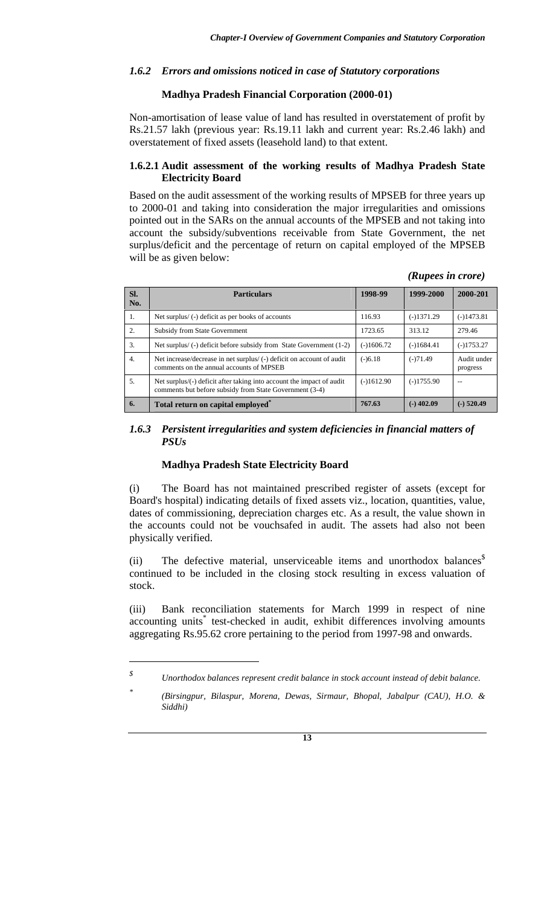### *1.6.2 Errors and omissions noticed in case of Statutory corporations*

### **Madhya Pradesh Financial Corporation (2000-01)**

Non-amortisation of lease value of land has resulted in overstatement of profit by Rs.21.57 lakh (previous year: Rs.19.11 lakh and current year: Rs.2.46 lakh) and overstatement of fixed assets (leasehold land) to that extent.

### **1.6.2.1 Audit assessment of the working results of Madhya Pradesh State Electricity Board**

Based on the audit assessment of the working results of MPSEB for three years up to 2000-01 and taking into consideration the major irregularities and omissions pointed out in the SARs on the annual accounts of the MPSEB and not taking into account the subsidy/subventions receivable from State Government, the net surplus/deficit and the percentage of return on capital employed of the MPSEB will be as given below:

*(Rupees in crore)* 

| SI.<br>No.       | <b>Particulars</b>                                                                                                               | 1998-99      | 1999-2000    | 2000-201                |
|------------------|----------------------------------------------------------------------------------------------------------------------------------|--------------|--------------|-------------------------|
| 1.               | Net surplus/(-) deficit as per books of accounts                                                                                 | 116.93       | $(-)1371.29$ | $(-)1473.81$            |
| 2.               | <b>Subsidy from State Government</b>                                                                                             | 1723.65      | 313.12       | 279.46                  |
| 3.               | Net surplus/(-) deficit before subsidy from State Government (1-2)                                                               | $(-)1606.72$ | $(-)1684.41$ | $(-)1753.27$            |
| $\overline{4}$ . | Net increase/decrease in net surplus/ (-) deficit on account of audit<br>comments on the annual accounts of MPSEB                | $(-)6.18$    | $(-)71.49$   | Audit under<br>progress |
| 5.               | Net surplus/(-) deficit after taking into account the impact of audit<br>comments but before subsidy from State Government (3-4) | $(-)1612.90$ | $(-)1755.90$ |                         |
| 6.               | Total return on capital employed <sup>*</sup>                                                                                    | 767.63       | $(-)$ 402.09 | $(-)$ 520.49            |

### *1.6.3 Persistent irregularities and system deficiencies in financial matters of PSUs*

#### **Madhya Pradesh State Electricity Board**

 $\overline{a}$ 

(i) The Board has not maintained prescribed register of assets (except for Board's hospital) indicating details of fixed assets viz., location, quantities, value, dates of commissioning, depreciation charges etc. As a result, the value shown in the accounts could not be vouchsafed in audit. The assets had also not been physically verified.

(ii) The defective material, unserviceable items and unorthodox balances<sup>\$</sup> continued to be included in the closing stock resulting in excess valuation of stock.

(iii) Bank reconciliation statements for March 1999 in respect of nine accounting units<sup>\*</sup> test-checked in audit, exhibit differences involving amounts aggregating Rs.95.62 crore pertaining to the period from 1997-98 and onwards.

*<sup>\$</sup> Unorthodox balances represent credit balance in stock account instead of debit balance.* 

*<sup>\*</sup> (Birsingpur, Bilaspur, Morena, Dewas, Sirmaur, Bhopal, Jabalpur (CAU), H.O. & Siddhi)*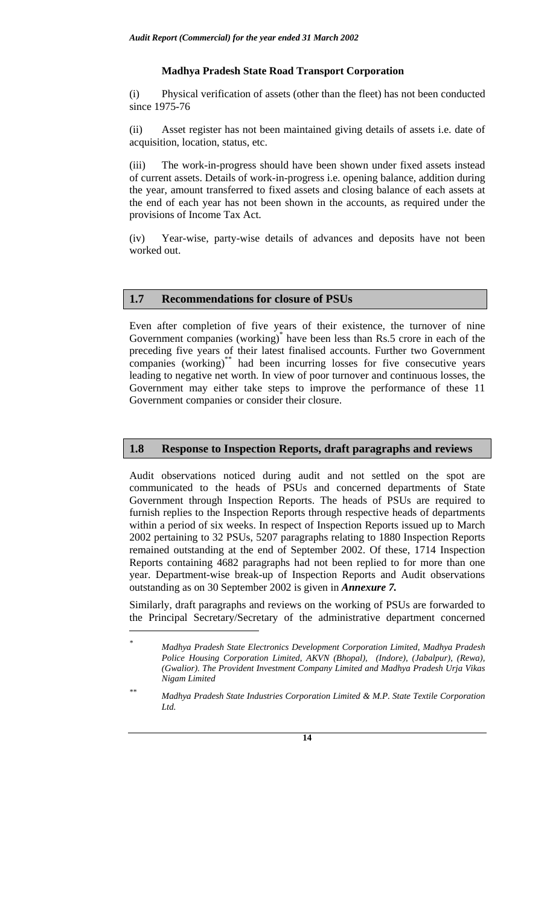### **Madhya Pradesh State Road Transport Corporation**

(i) Physical verification of assets (other than the fleet) has not been conducted since 1975-76

(ii) Asset register has not been maintained giving details of assets i.e. date of acquisition, location, status, etc.

(iii) The work-in-progress should have been shown under fixed assets instead of current assets. Details of work-in-progress i.e. opening balance, addition during the year, amount transferred to fixed assets and closing balance of each assets at the end of each year has not been shown in the accounts, as required under the provisions of Income Tax Act.

(iv) Year-wise, party-wise details of advances and deposits have not been worked out.

#### **1.7 Recommendations for closure of PSUs**

 $\overline{a}$ 

Even after completion of five years of their existence, the turnover of nine Government companies (working)<sup>\*</sup> have been less than Rs.5 crore in each of the preceding five years of their latest finalised accounts. Further two Government companies (working)<sup>\*\*</sup> had been incurring losses for five consecutive years leading to negative net worth. In view of poor turnover and continuous losses, the Government may either take steps to improve the performance of these 11 Government companies or consider their closure.

# **1.8 Response to Inspection Reports, draft paragraphs and reviews**

Audit observations noticed during audit and not settled on the spot are communicated to the heads of PSUs and concerned departments of State Government through Inspection Reports. The heads of PSUs are required to furnish replies to the Inspection Reports through respective heads of departments within a period of six weeks. In respect of Inspection Reports issued up to March 2002 pertaining to 32 PSUs, 5207 paragraphs relating to 1880 Inspection Reports remained outstanding at the end of September 2002. Of these, 1714 Inspection Reports containing 4682 paragraphs had not been replied to for more than one year. Department-wise break-up of Inspection Reports and Audit observations outstanding as on 30 September 2002 is given in *Annexure 7.*

Similarly, draft paragraphs and reviews on the working of PSUs are forwarded to the Principal Secretary/Secretary of the administrative department concerned

*<sup>\*</sup> Madhya Pradesh State Electronics Development Corporation Limited, Madhya Pradesh Police Housing Corporation Limited, AKVN (Bhopal), (Indore), (Jabalpur), (Rewa), (Gwalior). The Provident Investment Company Limited and Madhya Pradesh Urja Vikas Nigam Limited* 

*<sup>\*\*</sup> Madhya Pradesh State Industries Corporation Limited & M.P. State Textile Corporation Ltd.*